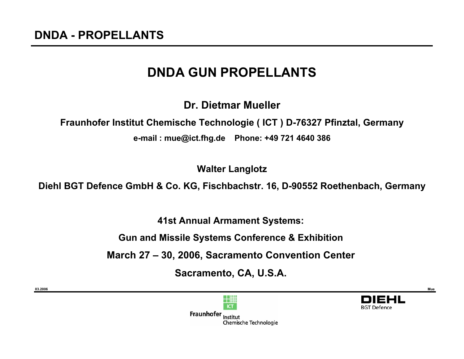**03.2006**

# **DNDA GUN PROPELLANTS**

**Dr. Dietmar Mueller**

**Fraunhofer Institut Chemische Technologie ( ICT ) D-76327 Pfinztal, Germany**

**e-mail : mue@ict.fhg.de Phone: +49 721 4640 386**

**Walter Langlotz**

**Diehl BGT Defence GmbH & Co. KG, Fischbachstr. 16, D-90552 Roethenbach, Germany**

**41st Annual Armament Systems:**

**Gun and Missile Systems Conference & Exhibition**

**March 27 – 30, 2006, Sacramento Convention Center**

**Sacramento, CA, U.S.A.**



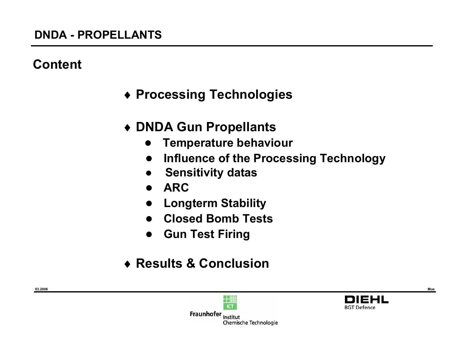## **Content**

- ♦ **Processing Technologies**
- ♦ **DNDA Gun Propellants**
	- **●Temperature behaviour**
	- **●Influence of the Processing Technology**
	- **●Sensitivity datas**
	- **●ARC**
	- **●Longterm Stability**
	- **●Closed Bomb Tests**
	- **●Gun Test Firing**
- ♦ **Results & Conclusion**

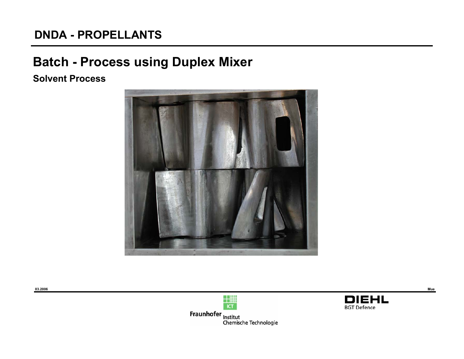# **Batch - Process using Duplex Mixer**

#### **Solvent Process**







**BGT Defence**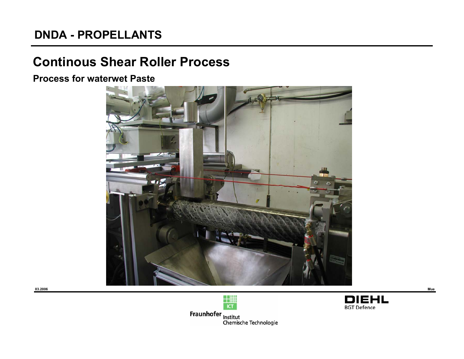## **Continous Shear Roller Process**

**Process for waterwet Paste**





**Fraunhofer**<br>Chemische Technologie<br>Chemische Technologie



**Mue**

**03.2006**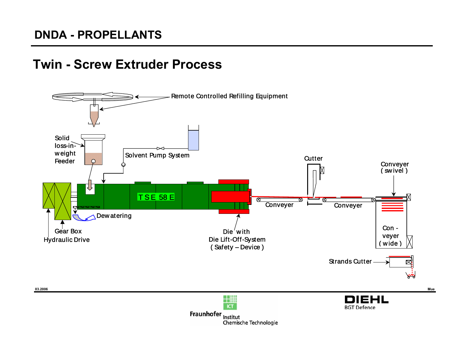## **Twin - Screw Extruder Process**



Chemische Technologie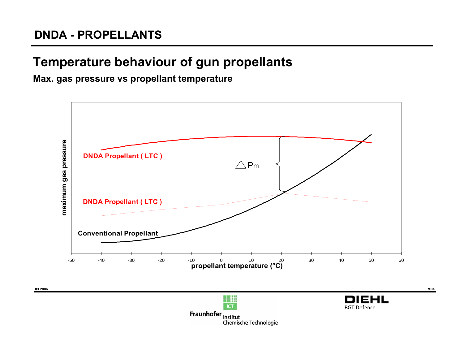# **Temperature behaviour of gun propellants**

**Max. gas pressure vs propellant temperature**

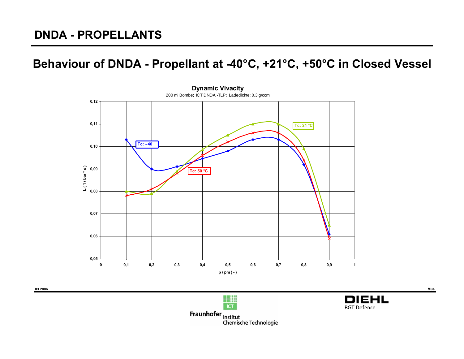#### **Behaviour of DNDA - Propellant at -40°C, +21°C, +50°C in Closed Vessel**







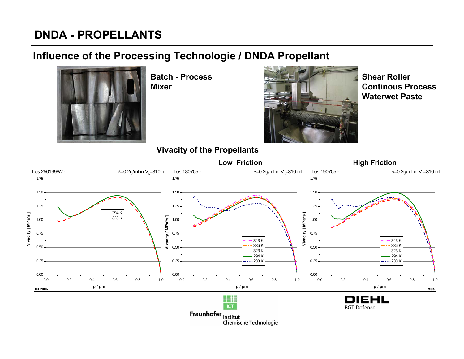#### **Influence of the Processing Technologie / DNDA Propellant**



**Batch - Process Mixer**



**Shear RollerContinous ProcessWaterwet Paste**

#### **Vivacity of the Propellants**

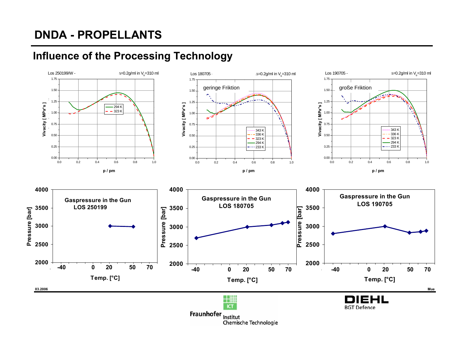

**Influence of the Processing Technology**

Chemische Technologie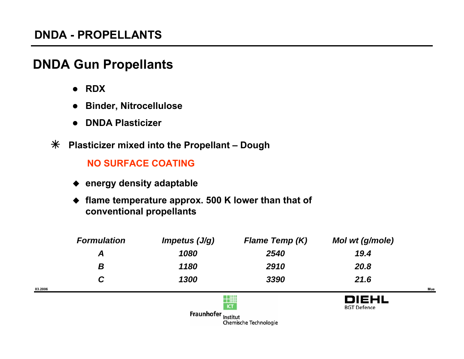## **DNDA Gun Propellants**

z **RDX**

**03.2006**

- $\bullet$ **Binder, Nitrocellulose**
- z **DNDA Plasticizer**
- Â **Plasticizer mixed into the Propellant – Dough**

#### **NO SURFACE COATING**

- ◆ energy density adaptable
- ◆ flame temperature approx. 500 K lower than that of **conventional propellants**

| <b>Formulation</b> | Impetus $(J/g)$                                        | <b>Flame Temp (K)</b> | Mol wt (g/mole)                    |     |
|--------------------|--------------------------------------------------------|-----------------------|------------------------------------|-----|
| A                  | 1080                                                   | 2540                  | 19.4                               |     |
| B                  | 1180                                                   | 2910                  | 20.8                               |     |
| C                  | 1300                                                   | 3390                  | 21.6                               |     |
|                    |                                                        |                       |                                    | Mue |
|                    | <b>ICT</b>                                             |                       | <b>DIEHL</b><br><b>BGT Defence</b> |     |
|                    | <b>Fraunhofer</b><br>Institut<br>Chemische Technologie |                       |                                    |     |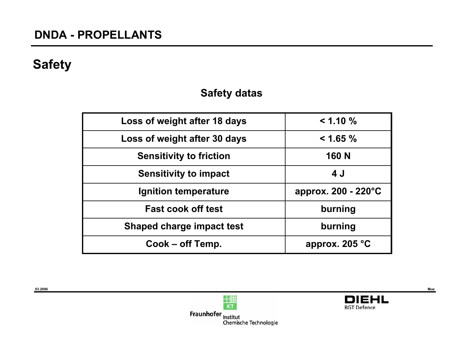## **Safety**

**03.2006**

#### **Safety datas**

| Loss of weight after 18 days     | $< 1.10 \%$         |
|----------------------------------|---------------------|
| Loss of weight after 30 days     | $< 1.65 \%$         |
| <b>Sensitivity to friction</b>   | <b>160 N</b>        |
| <b>Sensitivity to impact</b>     | 4 J                 |
| Ignition temperature             | approx. 200 - 220°C |
| <b>Fast cook off test</b>        | burning             |
| <b>Shaped charge impact test</b> | burning             |
| Cook – off Temp.                 | approx. $205 °C$    |





**Mue**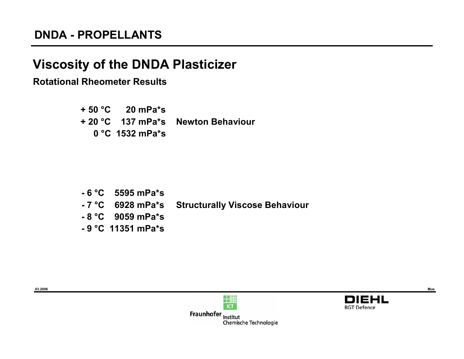# **Viscosity of the DNDA Plasticizer**

#### **Rotational Rheometer Results**

**+ 50 °C 20 mPa\*s + 20 °C 137 mPa\*s Newton Behaviour 0 °C 1532 mPa\*s** 

- **6 °C 5595 mPa\*s**
- **7 °C 6928 mPa\*s Structurally Viscose Behaviour**
- **8 °C 9059 mPa\*s**
- **9 °C 11351 mPa\*s**





Fraunhofer Institut Chemische Technologie

**03.2006**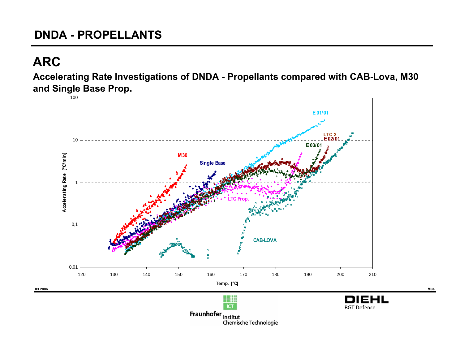# **ARC**

**Accelerating Rate Investigations of DNDA - Propellants compared with CAB-Lova, M30 and Single Base Prop.**

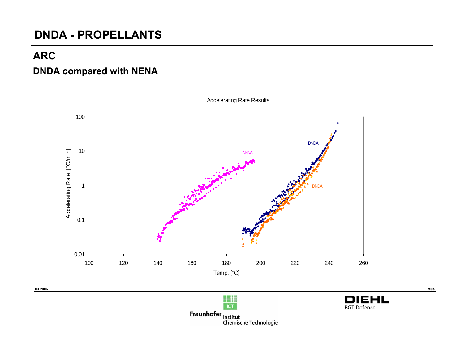#### **ARC**

#### **DNDA compared with NENA**



Accelerating Rate Results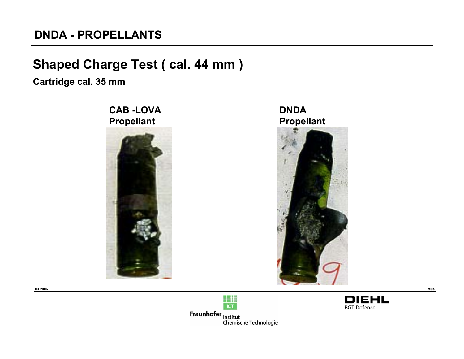## **Shaped Charge Test ( cal. 44 mm )**

**Cartridge cal. 35 mm**





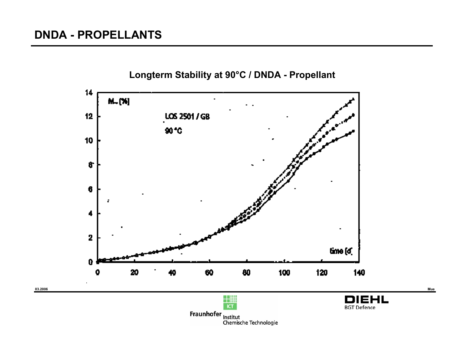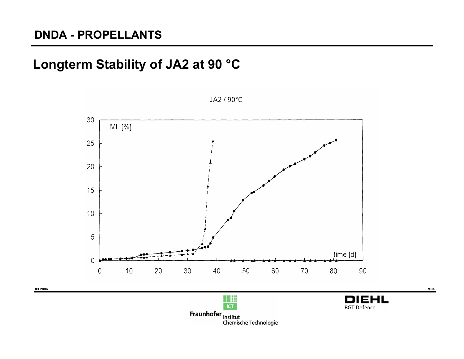## **Longterm Stability of JA2 at 90 °C**

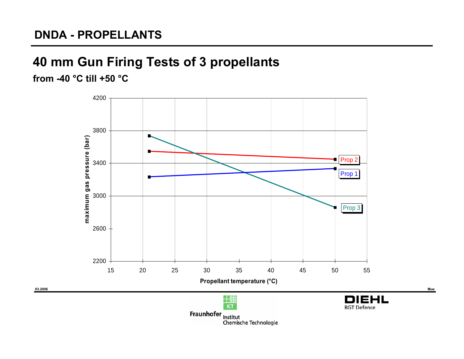# **40 mm Gun Firing Tests of 3 propellants**

**from -40 °C till +50 °C**

**03.2006**

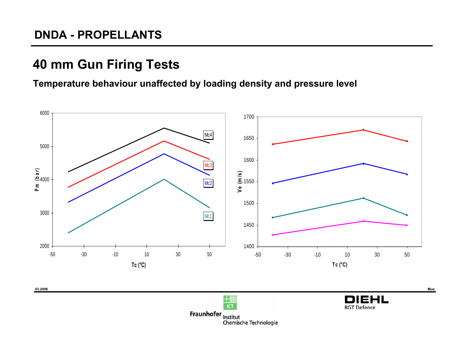# **40 mm Gun Firing Tests**

#### **Temperature behaviour unaffected by loading density and pressure level**



**Fraunhofer**<br>Chemische Technologie<br>Chemische Technologie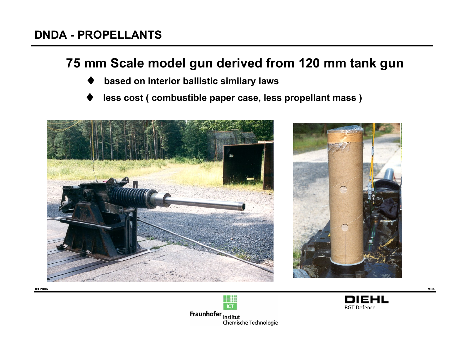## **75 mm Scale model gun derived from 120 mm tank gun**

- ♦**based on interior ballistic similary laws**
- ♦**less cost ( combustible paper case, less propellant mass )**







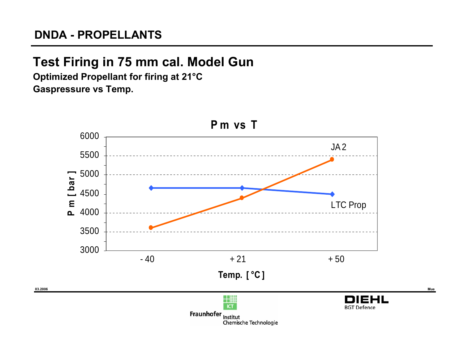## **Test Firing in 75 mm cal. Model Gun**

**Optimized Propellant for firing at 21°C Gaspressure vs Temp.**

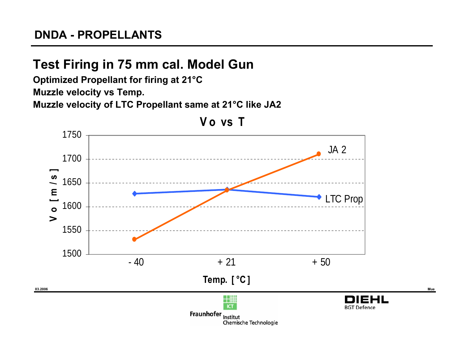# **Test Firing in 75 mm cal. Model Gun**

**Optimized Propellant for firing at 21°C**

**Muzzle velocity vs Temp.**

**Muzzle velocity of LTC Propellant same at 21°C like JA2**

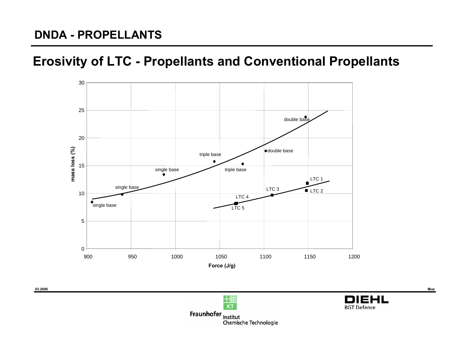## **Erosivity of LTC - Propellants and Conventional Propellants**